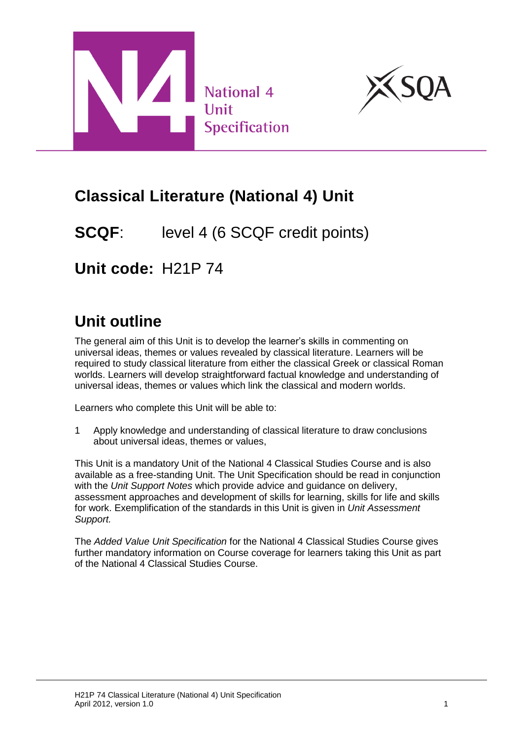



## **Classical Literature (National 4) Unit**

**SCQF:** level 4 (6 SCQF credit points)

**Unit code:** H21P 74

# **Unit outline**

The general aim of this Unit is to develop the learner's skills in commenting on universal ideas, themes or values revealed by classical literature. Learners will be required to study classical literature from either the classical Greek or classical Roman worlds. Learners will develop straightforward factual knowledge and understanding of universal ideas, themes or values which link the classical and modern worlds.

Learners who complete this Unit will be able to:

1 Apply knowledge and understanding of classical literature to draw conclusions about universal ideas, themes or values,

This Unit is a mandatory Unit of the National 4 Classical Studies Course and is also available as a free-standing Unit. The Unit Specification should be read in conjunction with the *Unit Support Notes* which provide advice and guidance on delivery, assessment approaches and development of skills for learning, skills for life and skills for work. Exemplification of the standards in this Unit is given in *Unit Assessment Support.*

The *Added Value Unit Specification* for the National 4 Classical Studies Course gives further mandatory information on Course coverage for learners taking this Unit as part of the National 4 Classical Studies Course.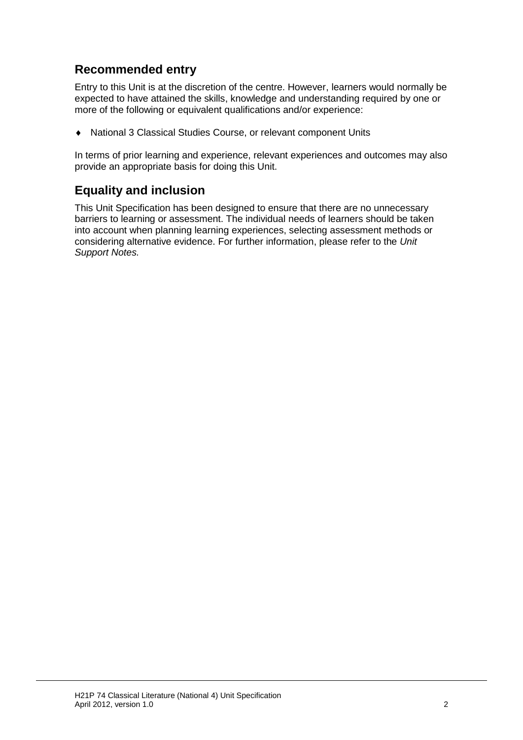#### **Recommended entry**

Entry to this Unit is at the discretion of the centre. However, learners would normally be expected to have attained the skills, knowledge and understanding required by one or more of the following or equivalent qualifications and/or experience:

National 3 Classical Studies Course, or relevant component Units

In terms of prior learning and experience, relevant experiences and outcomes may also provide an appropriate basis for doing this Unit.

#### **Equality and inclusion**

This Unit Specification has been designed to ensure that there are no unnecessary barriers to learning or assessment. The individual needs of learners should be taken into account when planning learning experiences, selecting assessment methods or considering alternative evidence. For further information, please refer to the *Unit Support Notes.*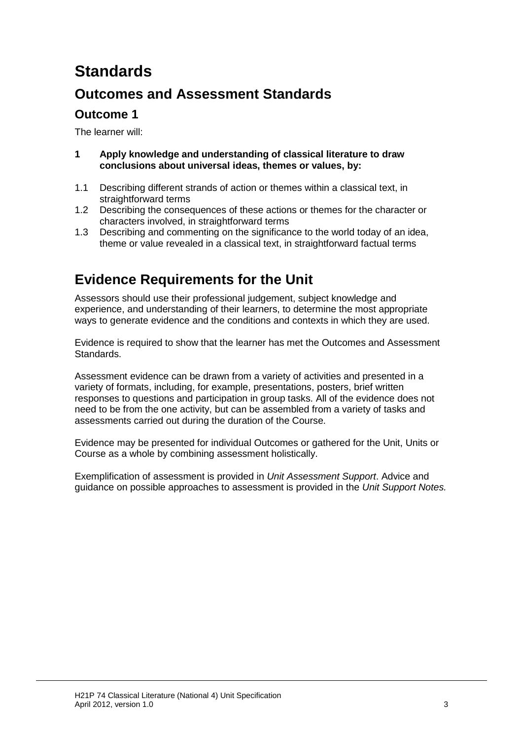# **Standards**

### **Outcomes and Assessment Standards**

#### **Outcome 1**

The learner will:

- **1 Apply knowledge and understanding of classical literature to draw conclusions about universal ideas, themes or values, by:**
- 1.1 Describing different strands of action or themes within a classical text, in straightforward terms
- 1.2 Describing the consequences of these actions or themes for the character or characters involved, in straightforward terms
- 1.3 Describing and commenting on the significance to the world today of an idea, theme or value revealed in a classical text, in straightforward factual terms

### **Evidence Requirements for the Unit**

Assessors should use their professional judgement, subject knowledge and experience, and understanding of their learners, to determine the most appropriate ways to generate evidence and the conditions and contexts in which they are used.

Evidence is required to show that the learner has met the Outcomes and Assessment Standards.

Assessment evidence can be drawn from a variety of activities and presented in a variety of formats, including, for example, presentations, posters, brief written responses to questions and participation in group tasks. All of the evidence does not need to be from the one activity, but can be assembled from a variety of tasks and assessments carried out during the duration of the Course.

Evidence may be presented for individual Outcomes or gathered for the Unit, Units or Course as a whole by combining assessment holistically.

Exemplification of assessment is provided in *Unit Assessment Support*. Advice and guidance on possible approaches to assessment is provided in the *Unit Support Notes.*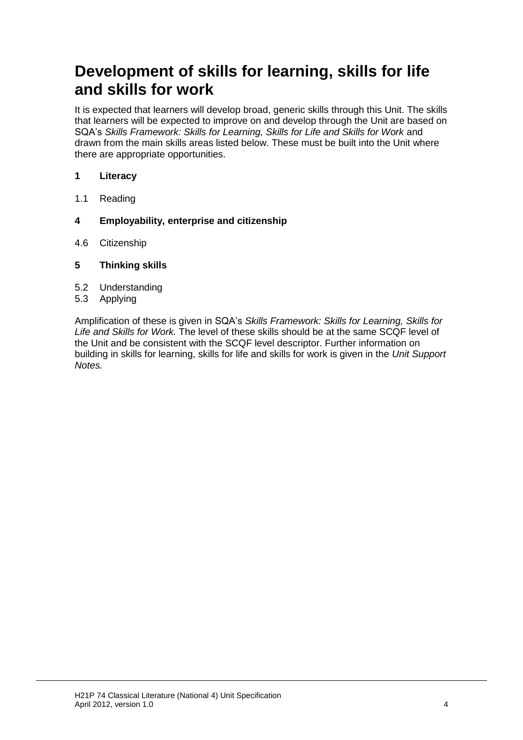### **Development of skills for learning, skills for life and skills for work**

It is expected that learners will develop broad, generic skills through this Unit. The skills that learners will be expected to improve on and develop through the Unit are based on SQA's *Skills Framework: Skills for Learning, Skills for Life and Skills for Work* and drawn from the main skills areas listed below. These must be built into the Unit where there are appropriate opportunities.

#### **1 Literacy**

- 1.1 Reading
- **4 Employability, enterprise and citizenship**
- 4.6 Citizenship
- **5 Thinking skills**
- 5.2 Understanding
- 5.3 Applying

Amplification of these is given in SQA's *Skills Framework: Skills for Learning, Skills for Life and Skills for Work.* The level of these skills should be at the same SCQF level of the Unit and be consistent with the SCQF level descriptor. Further information on building in skills for learning, skills for life and skills for work is given in the *Unit Support Notes.*